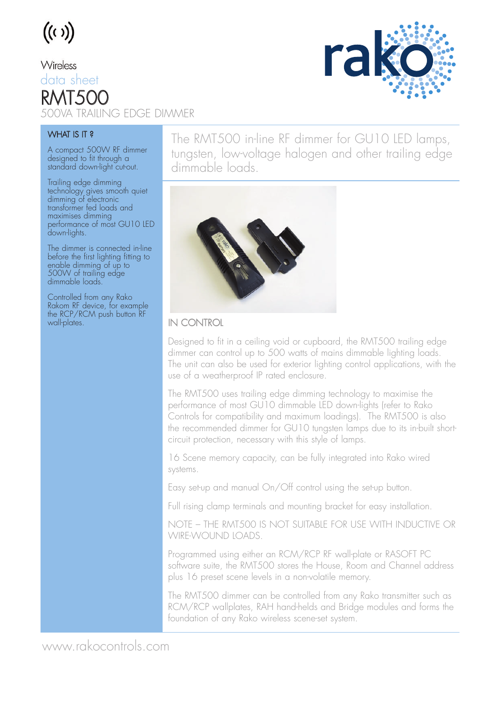## $((\iota))$

Wireless data sheet RMT50C 500VA TRAILING EDGE DIMMER



#### WHAT IS IT?

A compact 500W RF dimmer designed to fit through a standard down-light cut-out.

Trailing edge dimming technology gives smooth quiet dimming of electronic transformer fed loads and maximises dimming performance of most GU10 LED down-lights.

The dimmer is connected in-line before the first lighting fitting to enable dimming of up to 500W of trailing edge dimmable loads.

Controlled from any Rako Rakom RF device, for example the RCP/RCM push button RF wall-plates.

The RMT500 in-line RF dimmer for GU10 LED lamps, tungsten, low-voltage halogen and other trailing edge dimmable loads.



#### IN CONTROL

Designed to fit in a ceiling void or cupboard, the RMT500 trailing edge dimmer can control up to 500 watts of mains dimmable lighting loads. The unit can also be used for exterior lighting control applications, with the use of a weatherproof IP rated enclosure.

The RMT500 uses trailing edge dimming technology to maximise the performance of most GU10 dimmable LED down-lights (refer to Rako Controls for compatibility and maximum loadings). The RMT500 is also the recommended dimmer for GU10 tungsten lamps due to its in-built shortcircuit protection, necessary with this style of lamps.

16 Scene memory capacity, can be fully integrated into Rako wired systems.

Easy set-up and manual On/Off control using the set-up button.

Full rising clamp terminals and mounting bracket for easy installation.

NOTE – THE RMT500 IS NOT SUITABLE FOR USE WITH INDUCTIVE OR WIRE-WOUND LOADS.

Programmed using either an RCM/RCP RF wall-plate or RASOFT PC software suite, the RMT500 stores the House, Room and Channel address plus 16 preset scene levels in a non-volatile memory.

The RMT500 dimmer can be controlled from any Rako transmitter such as RCM/RCP wallplates, RAH hand-helds and Bridge modules and forms the foundation of any Rako wireless scene-set system.